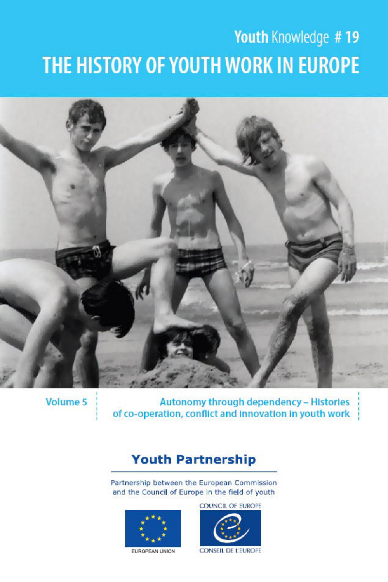# Youth Knowledge #19 THE HISTORY OF YOUTH WORK IN EUROPE



Volume 5

Autonomy through dependency - Histories of co-operation, conflict and innovation in youth work

## **Youth Partnership**

Partnership between the European Commission and the Council of Europe in the field of youth



**COUNCIL OF EUROPE** 

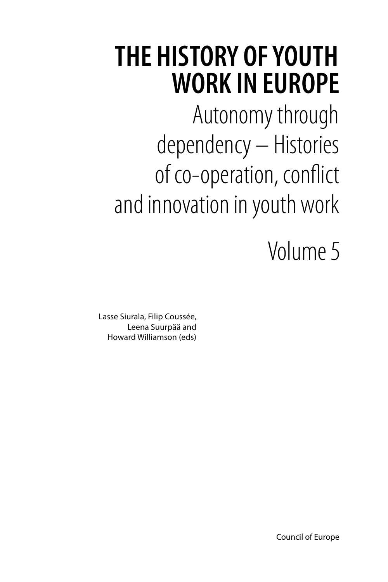## **THE HISTORY OF YOUTH WORK IN EUROPE**

Autonomy through dependency – Histories of co-operation, conflict and innovation in youth work

Volume 5

Lasse Siurala, Filip Coussée, Leena Suurpää and Howard Williamson (eds)

Council of Europe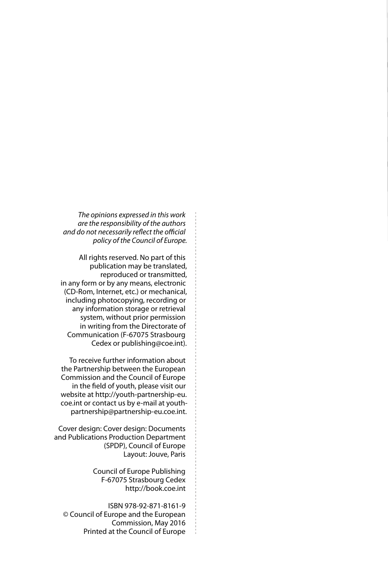*The opinions expressed in this work are the responsibility of the authors and do not necessarily reflect the official policy of the Council of Europe.*

All rights reserved. No part of this publication may be translated, reproduced or transmitted, in any form or by any means, electronic (CD-Rom, Internet, etc.) or mechanical, including photocopying, recording or any information storage or retrieval system, without prior permission in writing from the Directorate of Communication (F-67075 Strasbourg Cedex or [publishing@coe.int\)](mailto:publishing%40coe.int?subject=).

To receive further information about the Partnership between the European Commission and the Council of Europe in the field of youth, please visit our website at [http://youth-partnership-eu.](http://youth-partnership-eu.coe.int) [coe.int](http://youth-partnership-eu.coe.int) or contact us by e-mail at youth[partnership@partnership-eu.coe.int.](mailto:partnership%40partnership-eu.coe.int?subject=)

Cover design: Cover design: Documents and Publications Production Department (SPDP), Council of Europe Layout: Jouve, Paris

> Council of Europe Publishing F-67075 Strasbourg Cedex <http://book.coe.int>

ISBN 978-92-871-8161-9 © Council of Europe and the European Commission, May 2016 Printed at the Council of Europe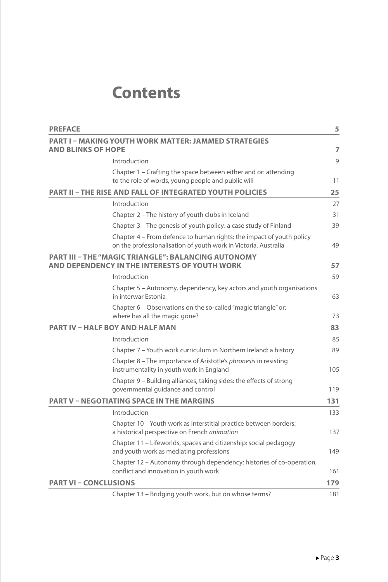### **Contents**

| <b>PREFACE</b>                                                                                              |                                                                                                                                         | 5   |
|-------------------------------------------------------------------------------------------------------------|-----------------------------------------------------------------------------------------------------------------------------------------|-----|
| <b>AND BLINKS OF HOPE</b>                                                                                   | <b>PART I - MAKING YOUTH WORK MATTER: JAMMED STRATEGIES</b>                                                                             | 7   |
|                                                                                                             | Introduction                                                                                                                            | 9   |
|                                                                                                             | Chapter 1 – Crafting the space between either and or: attending<br>to the role of words, young people and public will                   | 11  |
|                                                                                                             | <b>PART II - THE RISE AND FALL OF INTEGRATED YOUTH POLICIES</b>                                                                         | 25  |
|                                                                                                             | Introduction                                                                                                                            | 27  |
|                                                                                                             | Chapter 2 - The history of youth clubs in Iceland                                                                                       | 31  |
|                                                                                                             | Chapter 3 - The genesis of youth policy: a case study of Finland                                                                        | 39  |
|                                                                                                             | Chapter 4 – From defence to human rights: the impact of youth policy<br>on the professionalisation of youth work in Victoria, Australia | 49  |
| <b>PART III - THE "MAGIC TRIANGLE": BALANCING AUTONOMY</b><br>AND DEPENDENCY IN THE INTERESTS OF YOUTH WORK |                                                                                                                                         | 57  |
|                                                                                                             | Introduction                                                                                                                            | 59  |
|                                                                                                             | Chapter 5 – Autonomy, dependency, key actors and youth organisations<br>in interwar Estonia                                             | 63  |
|                                                                                                             | Chapter 6 – Observations on the so-called "magic triangle" or:<br>where has all the magic gone?                                         | 73  |
| <b>PART IV - HALF BOY AND HALF MAN</b>                                                                      |                                                                                                                                         | 83  |
|                                                                                                             | Introduction                                                                                                                            | 85  |
|                                                                                                             | Chapter 7 - Youth work curriculum in Northern Ireland: a history                                                                        | 89  |
|                                                                                                             | Chapter 8 - The importance of Aristotle's phronesis in resisting<br>instrumentality in youth work in England                            | 105 |
|                                                                                                             | Chapter 9 - Building alliances, taking sides: the effects of strong<br>governmental guidance and control                                | 119 |
|                                                                                                             | <b>PART V - NEGOTIATING SPACE IN THE MARGINS</b>                                                                                        |     |
|                                                                                                             | Introduction                                                                                                                            | 133 |
|                                                                                                             | Chapter 10 – Youth work as interstitial practice between borders:<br>a historical perspective on French animation                       | 137 |
|                                                                                                             | Chapter 11 – Lifeworlds, spaces and citizenship: social pedagogy<br>and youth work as mediating professions                             | 149 |
|                                                                                                             | Chapter 12 – Autonomy through dependency: histories of co-operation,<br>conflict and innovation in youth work                           | 161 |
| <b>PART VI - CONCLUSIONS</b>                                                                                |                                                                                                                                         | 179 |
|                                                                                                             | Chapter 13 - Bridging youth work, but on whose terms?                                                                                   | 181 |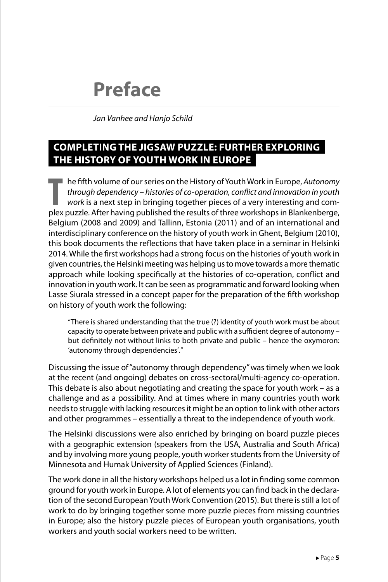## **Preface**

*Jan Vanhee and Hanjo Schild*

#### **COMPLETING THE JIGSAW PUZZLE: FURTHER EXPLORING THE HISTORY OF YOUTH WORK IN EUROPE**

**The fifth volume of our series on the History of Youth Work in Europe, Autonomy**<br> *Through dependency – histories of co-operation, conflict and innovation in youth*<br> *Work is a next step in bringing together pieces of a v* he fifth volume of our series on the History of Youth Work in Europe, *Autonomy through dependency – histories of co-operation, conflict and innovation in youth work* is a next step in bringing together pieces of a very interesting and com-Belgium (2008 and 2009) and Tallinn, Estonia (2011) and of an international and interdisciplinary conference on the history of youth work in Ghent, Belgium (2010), this book documents the reflections that have taken place in a seminar in Helsinki 2014. While the first workshops had a strong focus on the histories of youth work in given countries, the Helsinki meeting was helping us to move towards a more thematic approach while looking specifically at the histories of co-operation, conflict and innovation in youth work. It can be seen as programmatic and forward looking when Lasse Siurala stressed in a concept paper for the preparation of the fifth workshop on history of youth work the following:

"There is shared understanding that the true (?) identity of youth work must be about capacity to operate between private and public with a sufficient degree of autonomy – but definitely not without links to both private and public – hence the oxymoron: 'autonomy through dependencies'."

Discussing the issue of "autonomy through dependency" was timely when we look at the recent (and ongoing) debates on cross-sectoral/multi-agency co-operation. This debate is also about negotiating and creating the space for youth work – as a challenge and as a possibility. And at times where in many countries youth work needs to struggle with lacking resources it might be an option to link with other actors and other programmes – essentially a threat to the independence of youth work.

The Helsinki discussions were also enriched by bringing on board puzzle pieces with a geographic extension (speakers from the USA, Australia and South Africa) and by involving more young people, youth worker students from the University of Minnesota and Humak University of Applied Sciences (Finland).

The work done in all the history workshops helped us a lot in finding some common ground for youth work in Europe. A lot of elements you can find back in the declaration of the second European Youth Work Convention (2015). But there is still a lot of work to do by bringing together some more puzzle pieces from missing countries in Europe; also the history puzzle pieces of European youth organisations, youth workers and youth social workers need to be written.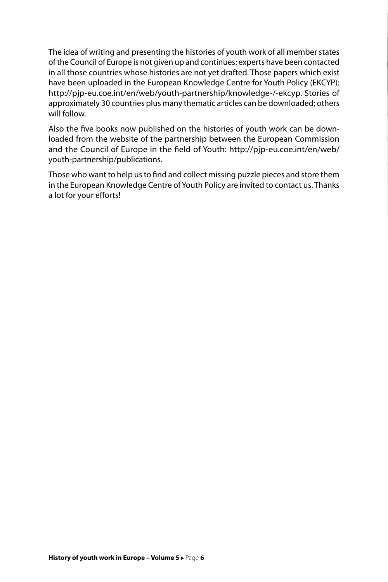The idea of writing and presenting the histories of youth work of all member states of the Council of Europe is not given up and continues: experts have been contacted in all those countries whose histories are not yet drafted. Those papers which exist have been uploaded in the European Knowledge Centre for Youth Policy (EKCYP): [http://pjp-eu.coe.int/en/web/youth-partnership/knowledge-/-ekcyp.](http://pjp-eu.coe.int/en/web/youth-partnership/knowledge-/-ekcyp) Stories of approximately 30 countries plus many thematic articles can be downloaded; others will follow.

Also the five books now published on the histories of youth work can be downloaded from the website of the partnership between the European Commission and the Council of Europe in the field of Youth: [http://pjp-eu.coe.int/en/web/](http://pjp-eu.coe.int/en/web/youth-partnership/publications) [youth-partnership/publications.](http://pjp-eu.coe.int/en/web/youth-partnership/publications)

Those who want to help us to find and collect missing puzzle pieces and store them in the European Knowledge Centre of Youth Policy are invited to contact us. Thanks a lot for your efforts!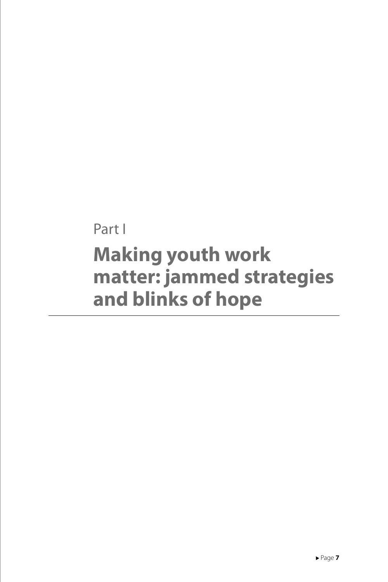Part I **Making youth work matter: jammed strategies and blinks of hope**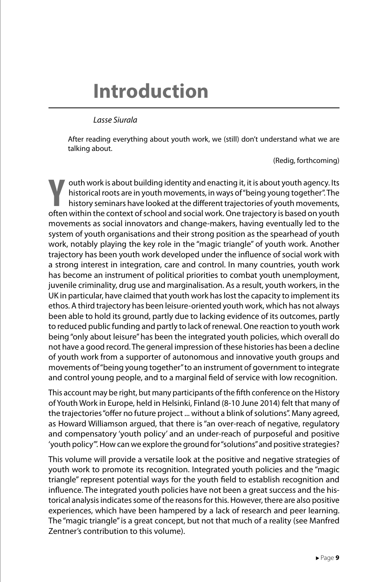## **Introduction**

#### *Lasse Siurala*

After reading everything about youth work, we (still) don't understand what we are talking about.

(Redig, forthcoming)

**Y**outh work is about building identity and enacting it, it is about youth agency. Its<br>
historical roots are in youth movements, in ways of "being young together". The<br>
history seminars have looked at the different trajec outh work is about building identity and enacting it, it is about youth agency. Its historical roots are in youth movements, in ways of "being young together". The history seminars have looked at the different trajectories of youth movements, movements as social innovators and change-makers, having eventually led to the system of youth organisations and their strong position as the spearhead of youth work, notably playing the key role in the "magic triangle" of youth work. Another trajectory has been youth work developed under the influence of social work with a strong interest in integration, care and control. In many countries, youth work has become an instrument of political priorities to combat youth unemployment, juvenile criminality, drug use and marginalisation. As a result, youth workers, in the UK in particular, have claimed that youth work has lost the capacity to implement its ethos. A third trajectory has been leisure-oriented youth work, which has not always been able to hold its ground, partly due to lacking evidence of its outcomes, partly to reduced public funding and partly to lack of renewal. One reaction to youth work being "only about leisure" has been the integrated youth policies, which overall do not have a good record. The general impression of these histories has been a decline of youth work from a supporter of autonomous and innovative youth groups and movements of "being young together" to an instrument of government to integrate and control young people, and to a marginal field of service with low recognition.

This account may be right, but many participants of the fifth conference on the History of Youth Work in Europe, held in Helsinki, Finland (8-10 June 2014) felt that many of the trajectories "offer no future project ... without a blink of solutions". Many agreed, as Howard Williamson argued, that there is "an over-reach of negative, regulatory and compensatory 'youth policy' and an under-reach of purposeful and positive 'youth policy'". How can we explore the ground for "solutions" and positive strategies?

This volume will provide a versatile look at the positive and negative strategies of youth work to promote its recognition. Integrated youth policies and the "magic triangle" represent potential ways for the youth field to establish recognition and influence. The integrated youth policies have not been a great success and the historical analysis indicates some of the reasons for this. However, there are also positive experiences, which have been hampered by a lack of research and peer learning. The "magic triangle" is a great concept, but not that much of a reality (see Manfred Zentner's contribution to this volume).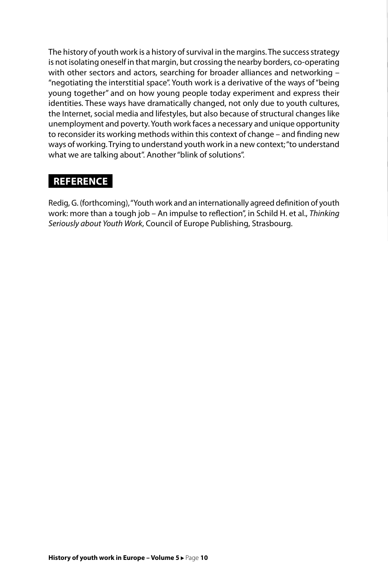The history of youth work is a history of survival in the margins. The success strategy is not isolating oneself in that margin, but crossing the nearby borders, co-operating with other sectors and actors, searching for broader alliances and networking – "negotiating the interstitial space". Youth work is a derivative of the ways of "being young together" and on how young people today experiment and express their identities. These ways have dramatically changed, not only due to youth cultures, the Internet, social media and lifestyles, but also because of structural changes like unemployment and poverty. Youth work faces a necessary and unique opportunity to reconsider its working methods within this context of change – and finding new ways of working. Trying to understand youth work in a new context; "to understand what we are talking about". Another "blink of solutions".

#### **REFERENCE**

Redig, G. (forthcoming), "Youth work and an internationally agreed definition of youth work: more than a tough job – An impulse to reflection", in Schild H. et al., *Thinking Seriously about Youth Work*, Council of Europe Publishing, Strasbourg.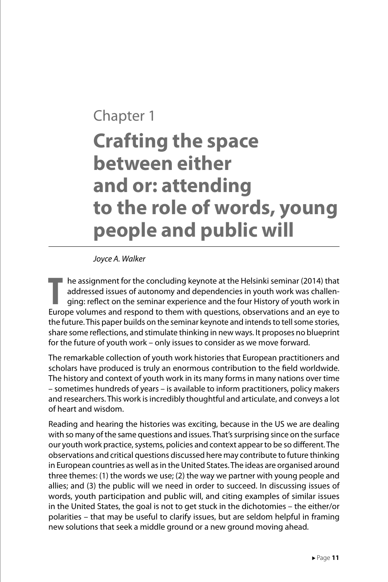## Chapter 1 **Crafting the space between either and or: attending to the role of words, young people and public will**

*Joyce A. Walker*

THE assignment for the concluding keynote at the Helsinki seminar (2014) that<br>
addressed issues of autonomy and dependencies in youth work was challen-<br>
ging: reflect on the seminar experience and the four History of youth he assignment for the concluding keynote at the Helsinki seminar (2014) that addressed issues of autonomy and dependencies in youth work was challenging: reflect on the seminar experience and the four History of youth work in the future. This paper builds on the seminar keynote and intends to tell some stories, share some reflections, and stimulate thinking in new ways. It proposes no blueprint for the future of youth work – only issues to consider as we move forward.

The remarkable collection of youth work histories that European practitioners and scholars have produced is truly an enormous contribution to the field worldwide. The history and context of youth work in its many forms in many nations over time – sometimes hundreds of years – is available to inform practitioners, policy makers and researchers. This work is incredibly thoughtful and articulate, and conveys a lot of heart and wisdom.

Reading and hearing the histories was exciting, because in the US we are dealing with so many of the same questions and issues. That's surprising since on the surface our youth work practice, systems, policies and context appear to be so different. The observations and critical questions discussed here may contribute to future thinking in European countries as well as in the United States. The ideas are organised around three themes: (1) the words we use; (2) the way we partner with young people and allies; and (3) the public will we need in order to succeed. In discussing issues of words, youth participation and public will, and citing examples of similar issues in the United States, the goal is not to get stuck in the dichotomies – the either/or polarities – that may be useful to clarify issues, but are seldom helpful in framing new solutions that seek a middle ground or a new ground moving ahead.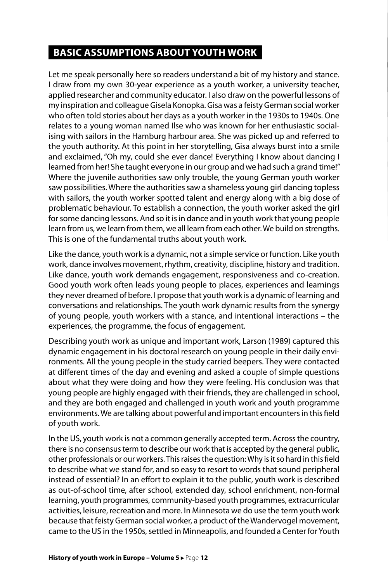#### **BASIC ASSUMPTIONS ABOUT YOUTH WORK**

Let me speak personally here so readers understand a bit of my history and stance. I draw from my own 30-year experience as a youth worker, a university teacher, applied researcher and community educator. I also draw on the powerful lessons of my inspiration and colleague Gisela Konopka. Gisa was a feisty German social worker who often told stories about her days as a youth worker in the 1930s to 1940s. One relates to a young woman named Ilse who was known for her enthusiastic socialising with sailors in the Hamburg harbour area. She was picked up and referred to the youth authority. At this point in her storytelling, Gisa always burst into a smile and exclaimed, "Oh my, could she ever dance! Everything I know about dancing I learned from her! She taught everyone in our group and we had such a grand time!" Where the juvenile authorities saw only trouble, the young German youth worker saw possibilities. Where the authorities saw a shameless young girl dancing topless with sailors, the youth worker spotted talent and energy along with a big dose of problematic behaviour. To establish a connection, the youth worker asked the girl for some dancing lessons. And so it is in dance and in youth work that young people learn from us, we learn from them, we all learn from each other. We build on strengths. This is one of the fundamental truths about youth work.

Like the dance, youth work is a dynamic, not a simple service or function. Like youth work, dance involves movement, rhythm, creativity, discipline, history and tradition. Like dance, youth work demands engagement, responsiveness and co-creation. Good youth work often leads young people to places, experiences and learnings they never dreamed of before. I propose that youth work is a dynamic of learning and conversations and relationships. The youth work dynamic results from the synergy of young people, youth workers with a stance, and intentional interactions – the experiences, the programme, the focus of engagement.

Describing youth work as unique and important work, Larson (1989) captured this dynamic engagement in his doctoral research on young people in their daily environments. All the young people in the study carried beepers. They were contacted at different times of the day and evening and asked a couple of simple questions about what they were doing and how they were feeling. His conclusion was that young people are highly engaged with their friends, they are challenged in school, and they are both engaged and challenged in youth work and youth programme environments. We are talking about powerful and important encounters in this field of youth work.

In the US, youth work is not a common generally accepted term. Across the country, there is no consensus term to describe our work that is accepted by the general public, other professionals or our workers. This raises the question: Why is it so hard in this field to describe what we stand for, and so easy to resort to words that sound peripheral instead of essential? In an effort to explain it to the public, youth work is described as out-of-school time, after school, extended day, school enrichment, non-formal learning, youth programmes, community-based youth programmes, extracurricular activities, leisure, recreation and more. In Minnesota we do use the term youth work because that feisty German social worker, a product of the Wandervogel movement, came to the US in the 1950s, settled in Minneapolis, and founded a Center for Youth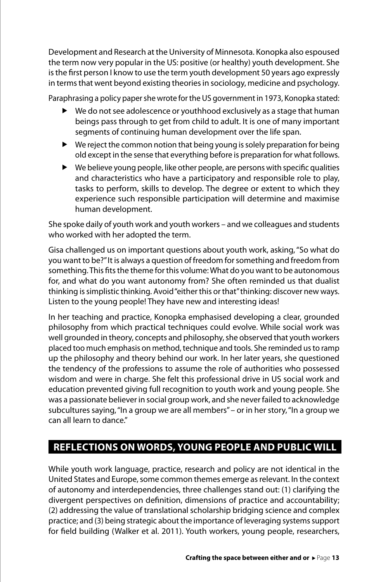Development and Research at the University of Minnesota. Konopka also espoused the term now very popular in the US: positive (or healthy) youth development. She is the first person I know to use the term youth development 50 years ago expressly in terms that went beyond existing theories in sociology, medicine and psychology.

Paraphrasing a policy paper she wrote for the US government in 1973, Konopka stated:

- $\blacktriangleright$  We do not see adolescence or youthhood exclusively as a stage that human beings pass through to get from child to adult. It is one of many important segments of continuing human development over the life span.
- $\blacktriangleright$  We reject the common notion that being young is solely preparation for being old except in the sense that everything before is preparation for what follows.
- $\blacktriangleright$  We believe young people, like other people, are persons with specific qualities and characteristics who have a participatory and responsible role to play, tasks to perform, skills to develop. The degree or extent to which they experience such responsible participation will determine and maximise human development.

She spoke daily of youth work and youth workers – and we colleagues and students who worked with her adopted the term.

Gisa challenged us on important questions about youth work, asking, "So what do you want to be?" It is always a question of freedom for something and freedom from something. This fits the theme for this volume: What do you want to be autonomous for, and what do you want autonomy from? She often reminded us that dualist thinking is simplistic thinking. Avoid "either this or that" thinking: discover new ways. Listen to the young people! They have new and interesting ideas!

In her teaching and practice, Konopka emphasised developing a clear, grounded philosophy from which practical techniques could evolve. While social work was well grounded in theory, concepts and philosophy, she observed that youth workers placed too much emphasis on method, technique and tools. She reminded us to ramp up the philosophy and theory behind our work. In her later years, she questioned the tendency of the professions to assume the role of authorities who possessed wisdom and were in charge. She felt this professional drive in US social work and education prevented giving full recognition to youth work and young people. She was a passionate believer in social group work, and she never failed to acknowledge subcultures saying, "In a group we are all members" – or in her story, "In a group we can all learn to dance"

#### **REFLECTIONS ON WORDS, YOUNG PEOPLE AND PUBLIC WILL**

While youth work language, practice, research and policy are not identical in the United States and Europe, some common themes emerge as relevant. In the context of autonomy and interdependencies, three challenges stand out: (1) clarifying the divergent perspectives on definition, dimensions of practice and accountability; (2) addressing the value of translational scholarship bridging science and complex practice; and (3) being strategic about the importance of leveraging systems support for field building (Walker et al. 2011). Youth workers, young people, researchers,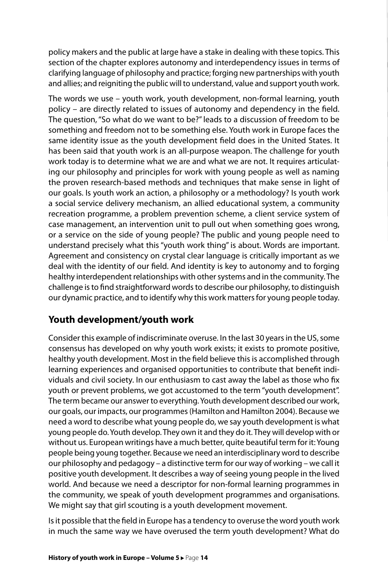policy makers and the public at large have a stake in dealing with these topics. This section of the chapter explores autonomy and interdependency issues in terms of clarifying language of philosophy and practice; forging new partnerships with youth and allies; and reigniting the public will to understand, value and support youth work.

The words we use – youth work, youth development, non-formal learning, youth policy – are directly related to issues of autonomy and dependency in the field. The question, "So what do we want to be?" leads to a discussion of freedom to be something and freedom not to be something else. Youth work in Europe faces the same identity issue as the youth development field does in the United States. It has been said that youth work is an all-purpose weapon. The challenge for youth work today is to determine what we are and what we are not. It requires articulating our philosophy and principles for work with young people as well as naming the proven research-based methods and techniques that make sense in light of our goals. Is youth work an action, a philosophy or a methodology? Is youth work a social service delivery mechanism, an allied educational system, a community recreation programme, a problem prevention scheme, a client service system of case management, an intervention unit to pull out when something goes wrong, or a service on the side of young people? The public and young people need to understand precisely what this "youth work thing" is about. Words are important. Agreement and consistency on crystal clear language is critically important as we deal with the identity of our field. And identity is key to autonomy and to forging healthy interdependent relationships with other systems and in the community. The challenge is to find straightforward words to describe our philosophy, to distinguish our dynamic practice, and to identify why this work matters for young people today.

#### **Youth development/youth work**

Consider this example of indiscriminate overuse. In the last 30 years in the US, some consensus has developed on why youth work exists; it exists to promote positive, healthy youth development. Most in the field believe this is accomplished through learning experiences and organised opportunities to contribute that benefit individuals and civil society. In our enthusiasm to cast away the label as those who fix youth or prevent problems, we got accustomed to the term "youth development". The term became our answer to everything. Youth development described our work, our goals, our impacts, our programmes (Hamilton and Hamilton 2004). Because we need a word to describe what young people do, we say youth development is what young people do. Youth develop. They own it and they do it. They will develop with or without us. European writings have a much better, quite beautiful term for it: Young people being young together. Because we need an interdisciplinary word to describe our philosophy and pedagogy – a distinctive term for our way of working – we call it positive youth development. It describes a way of seeing young people in the lived world. And because we need a descriptor for non-formal learning programmes in the community, we speak of youth development programmes and organisations. We might say that girl scouting is a youth development movement.

Is it possible that the field in Europe has a tendency to overuse the word youth work in much the same way we have overused the term youth development? What do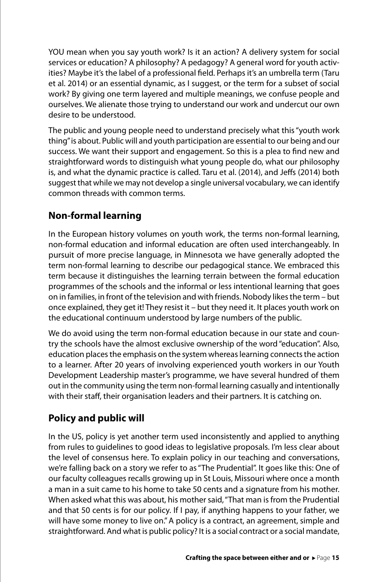YOU mean when you say youth work? Is it an action? A delivery system for social services or education? A philosophy? A pedagogy? A general word for youth activities? Maybe it's the label of a professional field. Perhaps it's an umbrella term (Taru et al. 2014) or an essential dynamic, as I suggest, or the term for a subset of social work? By giving one term layered and multiple meanings, we confuse people and ourselves. We alienate those trying to understand our work and undercut our own desire to be understood.

The public and young people need to understand precisely what this "youth work thing" is about. Public will and youth participation are essential to our being and our success. We want their support and engagement. So this is a plea to find new and straightforward words to distinguish what young people do, what our philosophy is, and what the dynamic practice is called. Taru et al. (2014), and Jeffs (2014) both suggest that while we may not develop a single universal vocabulary, we can identify common threads with common terms.

#### **Non-formal learning**

In the European history volumes on youth work, the terms non-formal learning, non-formal education and informal education are often used interchangeably. In pursuit of more precise language, in Minnesota we have generally adopted the term non-formal learning to describe our pedagogical stance. We embraced this term because it distinguishes the learning terrain between the formal education programmes of the schools and the informal or less intentional learning that goes on in families, in front of the television and with friends. Nobody likes the term – but once explained, they get it! They resist it – but they need it. It places youth work on the educational continuum understood by large numbers of the public.

We do avoid using the term non-formal education because in our state and country the schools have the almost exclusive ownership of the word "education". Also, education places the emphasis on the system whereas learning connects the action to a learner. After 20 years of involving experienced youth workers in our Youth Development Leadership master's programme, we have several hundred of them out in the community using the term non-formal learning casually and intentionally with their staff, their organisation leaders and their partners. It is catching on.

#### **Policy and public will**

In the US, policy is yet another term used inconsistently and applied to anything from rules to guidelines to good ideas to legislative proposals. I'm less clear about the level of consensus here. To explain policy in our teaching and conversations, we're falling back on a story we refer to as "The Prudential". It goes like this: One of our faculty colleagues recalls growing up in St Louis, Missouri where once a month a man in a suit came to his home to take 50 cents and a signature from his mother. When asked what this was about, his mother said, "That man is from the Prudential and that 50 cents is for our policy. If I pay, if anything happens to your father, we will have some money to live on." A policy is a contract, an agreement, simple and straightforward. And what is public policy? It is a social contract or a social mandate,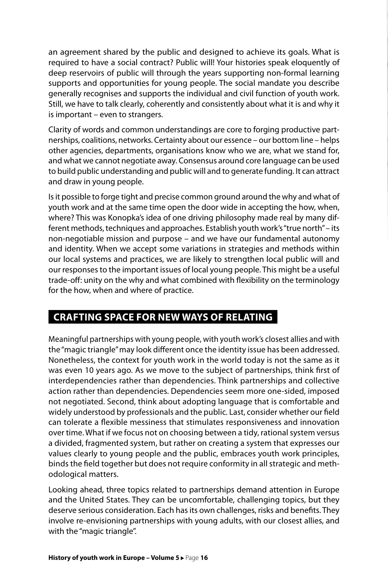an agreement shared by the public and designed to achieve its goals. What is required to have a social contract? Public will! Your histories speak eloquently of deep reservoirs of public will through the years supporting non-formal learning supports and opportunities for young people. The social mandate you describe generally recognises and supports the individual and civil function of youth work. Still, we have to talk clearly, coherently and consistently about what it is and why it is important – even to strangers.

Clarity of words and common understandings are core to forging productive partnerships, coalitions, networks. Certainty about our essence – our bottom line – helps other agencies, departments, organisations know who we are, what we stand for, and what we cannot negotiate away. Consensus around core language can be used to build public understanding and public will and to generate funding. It can attract and draw in young people.

Is it possible to forge tight and precise common ground around the why and what of youth work and at the same time open the door wide in accepting the how, when, where? This was Konopka's idea of one driving philosophy made real by many different methods, techniques and approaches. Establish youth work's "true north" – its non-negotiable mission and purpose – and we have our fundamental autonomy and identity. When we accept some variations in strategies and methods within our local systems and practices, we are likely to strengthen local public will and our responses to the important issues of local young people. This might be a useful trade-off: unity on the why and what combined with flexibility on the terminology for the how, when and where of practice.

#### **CRAFTING SPACE FOR NEW WAYS OF RELATING**

Meaningful partnerships with young people, with youth work's closest allies and with the "magic triangle" may look different once the identity issue has been addressed. Nonetheless, the context for youth work in the world today is not the same as it was even 10 years ago. As we move to the subject of partnerships, think first of interdependencies rather than dependencies. Think partnerships and collective action rather than dependencies. Dependencies seem more one-sided, imposed not negotiated. Second, think about adopting language that is comfortable and widely understood by professionals and the public. Last, consider whether our field can tolerate a flexible messiness that stimulates responsiveness and innovation over time. What if we focus not on choosing between a tidy, rational system versus a divided, fragmented system, but rather on creating a system that expresses our values clearly to young people and the public, embraces youth work principles, binds the field together but does not require conformity in all strategic and methodological matters.

Looking ahead, three topics related to partnerships demand attention in Europe and the United States. They can be uncomfortable, challenging topics, but they deserve serious consideration. Each has its own challenges, risks and benefits. They involve re-envisioning partnerships with young adults, with our closest allies, and with the "magic triangle".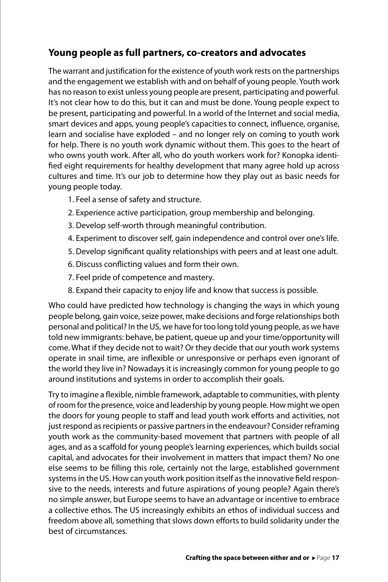#### **Young people as full partners, co-creators and advocates**

The warrant and justification for the existence of youth work rests on the partnerships and the engagement we establish with and on behalf of young people. Youth work has no reason to exist unless young people are present, participating and powerful. It's not clear how to do this, but it can and must be done. Young people expect to be present, participating and powerful. In a world of the Internet and social media, smart devices and apps, young people's capacities to connect, influence, organise, learn and socialise have exploded – and no longer rely on coming to youth work for help. There is no youth work dynamic without them. This goes to the heart of who owns youth work. After all, who do youth workers work for? Konopka identified eight requirements for healthy development that many agree hold up across cultures and time. It's our job to determine how they play out as basic needs for young people today.

- 1. Feel a sense of safety and structure.
- 2. Experience active participation, group membership and belonging.
- 3. Develop self-worth through meaningful contribution.
- 4. Experiment to discover self, gain independence and control over one's life.
- 5. Develop significant quality relationships with peers and at least one adult.
- 6. Discuss conflicting values and form their own.
- 7. Feel pride of competence and mastery.
- 8. Expand their capacity to enjoy life and know that success is possible.

Who could have predicted how technology is changing the ways in which young people belong, gain voice, seize power, make decisions and forge relationships both personal and political? In the US, we have for too long told young people, as we have told new immigrants: behave, be patient, queue up and your time/opportunity will come. What if they decide not to wait? Or they decide that our youth work systems operate in snail time, are inflexible or unresponsive or perhaps even ignorant of the world they live in? Nowadays it is increasingly common for young people to go around institutions and systems in order to accomplish their goals.

Try to imagine a flexible, nimble framework, adaptable to communities, with plenty of room for the presence, voice and leadership by young people. How might we open the doors for young people to staff and lead youth work efforts and activities, not just respond as recipients or passive partners in the endeavour? Consider reframing youth work as the community-based movement that partners with people of all ages, and as a scaffold for young people's learning experiences, which builds social capital, and advocates for their involvement in matters that impact them? No one else seems to be filling this role, certainly not the large, established government systems in the US. How can youth work position itself as the innovative field responsive to the needs, interests and future aspirations of young people? Again there's no simple answer, but Europe seems to have an advantage or incentive to embrace a collective ethos. The US increasingly exhibits an ethos of individual success and freedom above all, something that slows down efforts to build solidarity under the best of circumstances.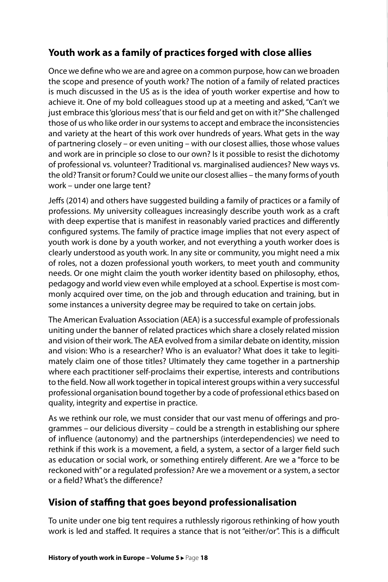#### **Youth work as a family of practices forged with close allies**

Once we define who we are and agree on a common purpose, how can we broaden the scope and presence of youth work? The notion of a family of related practices is much discussed in the US as is the idea of youth worker expertise and how to achieve it. One of my bold colleagues stood up at a meeting and asked, "Can't we just embrace this 'glorious mess' that is our field and get on with it?" She challenged those of us who like order in our systems to accept and embrace the inconsistencies and variety at the heart of this work over hundreds of years. What gets in the way of partnering closely – or even uniting – with our closest allies, those whose values and work are in principle so close to our own? Is it possible to resist the dichotomy of professional vs. volunteer? Traditional vs. marginalised audiences? New ways vs. the old? Transit or forum? Could we unite our closest allies – the many forms of youth work – under one large tent?

Jeffs (2014) and others have suggested building a family of practices or a family of professions. My university colleagues increasingly describe youth work as a craft with deep expertise that is manifest in reasonably varied practices and differently configured systems. The family of practice image implies that not every aspect of youth work is done by a youth worker, and not everything a youth worker does is clearly understood as youth work. In any site or community, you might need a mix of roles, not a dozen professional youth workers, to meet youth and community needs. Or one might claim the youth worker identity based on philosophy, ethos, pedagogy and world view even while employed at a school. Expertise is most commonly acquired over time, on the job and through education and training, but in some instances a university degree may be required to take on certain jobs.

The American Evaluation Association (AEA) is a successful example of professionals uniting under the banner of related practices which share a closely related mission and vision of their work. The AEA evolved from a similar debate on identity, mission and vision: Who is a researcher? Who is an evaluator? What does it take to legitimately claim one of those titles? Ultimately they came together in a partnership where each practitioner self-proclaims their expertise, interests and contributions to the field. Now all work together in topical interest groups within a very successful professional organisation bound together by a code of professional ethics based on quality, integrity and expertise in practice.

As we rethink our role, we must consider that our vast menu of offerings and programmes – our delicious diversity – could be a strength in establishing our sphere of influence (autonomy) and the partnerships (interdependencies) we need to rethink if this work is a movement, a field, a system, a sector of a larger field such as education or social work, or something entirely different. Are we a "force to be reckoned with" or a regulated profession? Are we a movement or a system, a sector or a field? What's the difference?

#### **Vision of staffing that goes beyond professionalisation**

To unite under one big tent requires a ruthlessly rigorous rethinking of how youth work is led and staffed. It requires a stance that is not "either/or". This is a difficult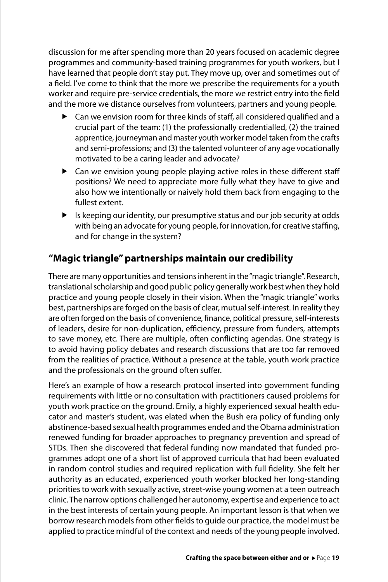discussion for me after spending more than 20 years focused on academic degree programmes and community-based training programmes for youth workers, but I have learned that people don't stay put. They move up, over and sometimes out of a field. I've come to think that the more we prescribe the requirements for a youth worker and require pre-service credentials, the more we restrict entry into the field and the more we distance ourselves from volunteers, partners and young people.

- $\blacktriangleright$  Can we envision room for three kinds of staff, all considered qualified and a crucial part of the team: (1) the professionally credentialled, (2) the trained apprentice, journeyman and master youth worker model taken from the crafts and semi-professions; and (3) the talented volunteer of any age vocationally motivated to be a caring leader and advocate?
- $\blacktriangleright$  Can we envision young people playing active roles in these different staff positions? We need to appreciate more fully what they have to give and also how we intentionally or naively hold them back from engaging to the fullest extent.
- $\blacktriangleright$  Is keeping our identity, our presumptive status and our job security at odds with being an advocate for young people, for innovation, for creative staffing, and for change in the system?

#### **"Magic triangle" partnerships maintain our credibility**

There are many opportunities and tensions inherent in the "magic triangle". Research, translational scholarship and good public policy generally work best when they hold practice and young people closely in their vision. When the "magic triangle" works best, partnerships are forged on the basis of clear, mutual self-interest. In reality they are often forged on the basis of convenience, finance, political pressure, self-interests of leaders, desire for non-duplication, efficiency, pressure from funders, attempts to save money, etc. There are multiple, often conflicting agendas. One strategy is to avoid having policy debates and research discussions that are too far removed from the realities of practice. Without a presence at the table, youth work practice and the professionals on the ground often suffer.

Here's an example of how a research protocol inserted into government funding requirements with little or no consultation with practitioners caused problems for youth work practice on the ground. Emily, a highly experienced sexual health educator and master's student, was elated when the Bush era policy of funding only abstinence-based sexual health programmes ended and the Obama administration renewed funding for broader approaches to pregnancy prevention and spread of STDs. Then she discovered that federal funding now mandated that funded programmes adopt one of a short list of approved curricula that had been evaluated in random control studies and required replication with full fidelity. She felt her authority as an educated, experienced youth worker blocked her long-standing priorities to work with sexually active, street-wise young women at a teen outreach clinic. The narrow options challenged her autonomy, expertise and experience to act in the best interests of certain young people. An important lesson is that when we borrow research models from other fields to guide our practice, the model must be applied to practice mindful of the context and needs of the young people involved.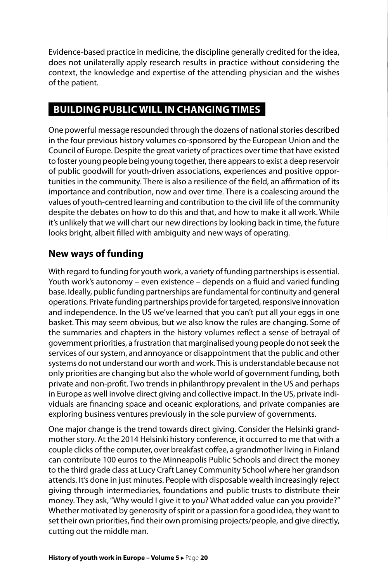Evidence-based practice in medicine, the discipline generally credited for the idea, does not unilaterally apply research results in practice without considering the context, the knowledge and expertise of the attending physician and the wishes of the patient.

#### **BUILDING PUBLIC WILL IN CHANGING TIMES**

One powerful message resounded through the dozens of national stories described in the four previous history volumes co-sponsored by the European Union and the Council of Europe. Despite the great variety of practices over time that have existed to foster young people being young together, there appears to exist a deep reservoir of public goodwill for youth-driven associations, experiences and positive opportunities in the community. There is also a resilience of the field, an affirmation of its importance and contribution, now and over time. There is a coalescing around the values of youth-centred learning and contribution to the civil life of the community despite the debates on how to do this and that, and how to make it all work. While it's unlikely that we will chart our new directions by looking back in time, the future looks bright, albeit filled with ambiguity and new ways of operating.

#### **New ways of funding**

With regard to funding for youth work, a variety of funding partnerships is essential. Youth work's autonomy – even existence – depends on a fluid and varied funding base. Ideally, public funding partnerships are fundamental for continuity and general operations. Private funding partnerships provide for targeted, responsive innovation and independence. In the US we've learned that you can't put all your eggs in one basket. This may seem obvious, but we also know the rules are changing. Some of the summaries and chapters in the history volumes reflect a sense of betrayal of government priorities, a frustration that marginalised young people do not seek the services of our system, and annoyance or disappointment that the public and other systems do not understand our worth and work. This is understandable because not only priorities are changing but also the whole world of government funding, both private and non-profit. Two trends in philanthropy prevalent in the US and perhaps in Europe as well involve direct giving and collective impact. In the US, private individuals are financing space and oceanic explorations, and private companies are exploring business ventures previously in the sole purview of governments.

One major change is the trend towards direct giving. Consider the Helsinki grandmother story. At the 2014 Helsinki history conference, it occurred to me that with a couple clicks of the computer, over breakfast coffee, a grandmother living in Finland can contribute 100 euros to the Minneapolis Public Schools and direct the money to the third grade class at Lucy Craft Laney Community School where her grandson attends. It's done in just minutes. People with disposable wealth increasingly reject giving through intermediaries, foundations and public trusts to distribute their money. They ask, "Why would I give it to you? What added value can you provide?" Whether motivated by generosity of spirit or a passion for a good idea, they want to set their own priorities, find their own promising projects/people, and give directly, cutting out the middle man.